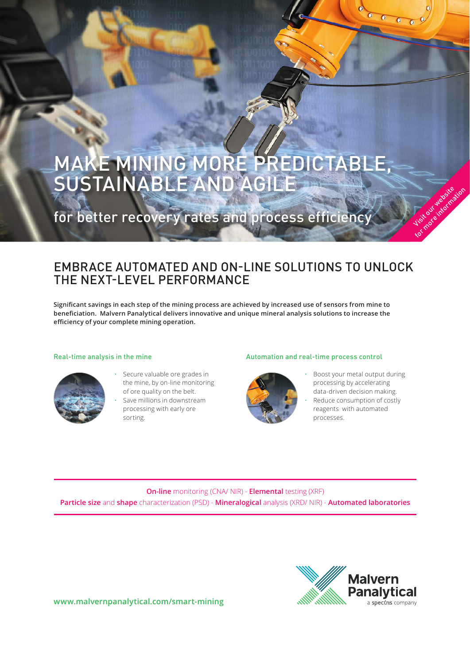# MAKE MINING MORE PREDICTABLE, SUSTAINABLE AND AGILE

for better recovery rates and process efficiency

### EMBRACE AUTOMATED AND ON-LINE SOLUTIONS TO UNLOCK THE NEXT-LEVEL PERFORMANCE

**Significant savings in each step of the mining process are achieved by increased use of sensors from mine to beneficiation. Malvern Panalytical delivers innovative and unique mineral analysis solutions to increase the efficiency of your complete mining operation.**



- Secure valuable ore grades in the mine, by on-line monitoring of ore quality on the belt. Save millions in downstream
- processing with early ore sorting.

#### Real-time analysis in the mine Automation and real-time process control



• Boost your metal output during processing by accelerating data-driven decision making. Reduce consumption of costly

Visit our website for more information

 $0000$ 

reagents with automated processes.

**On-line** monitoring (CNA/ NIR) - **Elemental** testing (XRF) **Particle size** and **shape** characterization (PSD) - **Mineralogical** analysis (XRD/ NIR) - **Automated laboratories**



**www.malvernpanalytical.com/smart-mining**